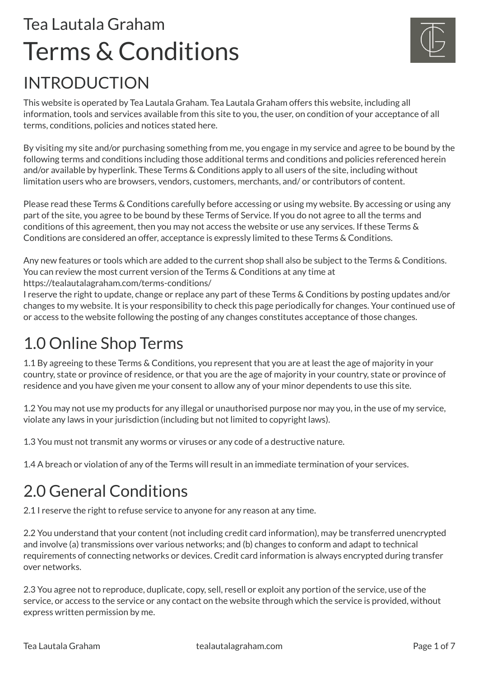# INTRODUCTION Tea Lautala Graham Terms & Conditions



This website is operated by Tea Lautala Graham. Tea Lautala Graham offers this website, including all information, tools and services available from this site to you, the user, on condition of your acceptance of all terms, conditions, policies and notices stated here.

By visiting my site and/or purchasing something from me, you engage in my service and agree to be bound by the following terms and conditions including those additional terms and conditions and policies referenced herein and/or available by hyperlink. These Terms & Conditions apply to all users of the site, including without limitation users who are browsers, vendors, customers, merchants, and/ or contributors of content.

Please read these Terms & Conditions carefully before accessing or using my website. By accessing or using any part of the site, you agree to be bound by these Terms of Service. If you do not agree to all the terms and conditions of this agreement, then you may not access the website or use any services. If these Terms & Conditions are considered an offer, acceptance is expressly limited to these Terms & Conditions.

Any new features or tools which are added to the current shop shall also be subject to the Terms & Conditions. You can review the most current version of the Terms & Conditions at any time at https://tealautalagraham.com/terms-conditions/

I reserve the right to update, change or replace any part of these Terms & Conditions by posting updates and/or changes to my website. It is your responsibility to check this page periodically for changes. Your continued use of or access to the website following the posting of any changes constitutes acceptance of those changes.

## 1.0 Online Shop Terms

1.1 By agreeing to these Terms & Conditions, you represent that you are at least the age of majority in your country, state or province of residence, or that you are the age of majority in your country, state or province of residence and you have given me your consent to allow any of your minor dependents to use this site.

1.2 You may not use my products for any illegal or unauthorised purpose nor may you, in the use of my service, violate any laws in your jurisdiction (including but not limited to copyright laws).

1.3 You must not transmit any worms or viruses or any code of a destructive nature.

1.4 A breach or violation of any of the Terms will result in an immediate termination of your services.

## 2.0 General Conditions

2.1 I reserve the right to refuse service to anyone for any reason at any time.

2.2 You understand that your content (not including credit card information), may be transferred unencrypted and involve (a) transmissions over various networks; and (b) changes to conform and adapt to technical requirements of connecting networks or devices. Credit card information is always encrypted during transfer over networks.

2.3 You agree not to reproduce, duplicate, copy, sell, resell or exploit any portion of the service, use of the service, or access to the service or any contact on the website through which the service is provided, without express written permission by me.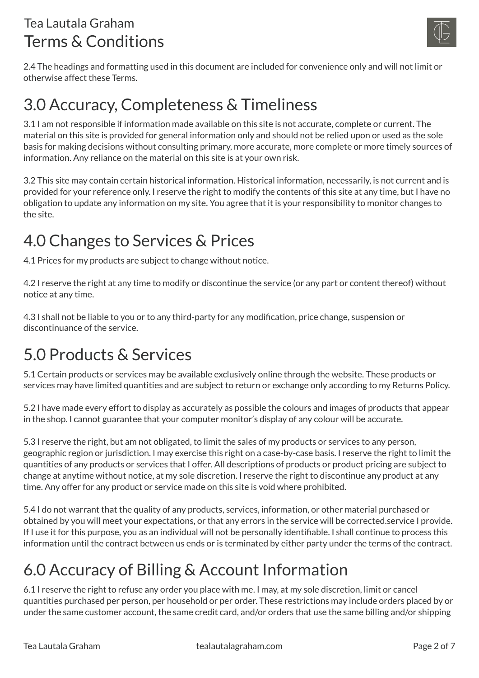

2.4 The headings and formatting used in this document are included for convenience only and will not limit or otherwise affect these Terms.

### 3.0 Accuracy, Completeness & Timeliness

3.1 I am not responsible if information made available on this site is not accurate, complete or current. The material on this site is provided for general information only and should not be relied upon or used as the sole basis for making decisions without consulting primary, more accurate, more complete or more timely sources of information. Any reliance on the material on this site is at your own risk.

3.2 This site may contain certain historical information. Historical information, necessarily, is not current and is provided for your reference only. I reserve the right to modify the contents of this site at any time, but I have no obligation to update any information on my site. You agree that it is your responsibility to monitor changes to the site.

## 4.0 Changes to Services & Prices

4.1 Prices for my products are subject to change without notice.

4.2 I reserve the right at any time to modify or discontinue the service (or any part or content thereof) without notice at any time.

4.3 I shall not be liable to you or to any third-party for any modification, price change, suspension or discontinuance of the service.

## 5.0 Products & Services

5.1 Certain products or services may be available exclusively online through the website. These products or services may have limited quantities and are subject to return or exchange only according to my Returns Policy.

5.2 I have made every effort to display as accurately as possible the colours and images of products that appear in the shop. I cannot guarantee that your computer monitor's display of any colour will be accurate.

5.3 I reserve the right, but am not obligated, to limit the sales of my products or services to any person, geographic region or jurisdiction. I may exercise this right on a case-by-case basis. I reserve the right to limit the quantities of any products or services that I offer. All descriptions of products or product pricing are subject to change at anytime without notice, at my sole discretion. I reserve the right to discontinue any product at any time. Any offer for any product or service made on this site is void where prohibited.

5.4 I do not warrant that the quality of any products, services, information, or other material purchased or obtained by you will meet your expectations, or that any errors in the service will be corrected.service I provide. If I use it for this purpose, you as an individual will not be personally identifiable. I shall continue to process this information until the contract between us ends or is terminated by either party under the terms of the contract.

## 6.0 Accuracy of Billing & Account Information

6.1 I reserve the right to refuse any order you place with me. I may, at my sole discretion, limit or cancel quantities purchased per person, per household or per order. These restrictions may include orders placed by or under the same customer account, the same credit card, and/or orders that use the same billing and/or shipping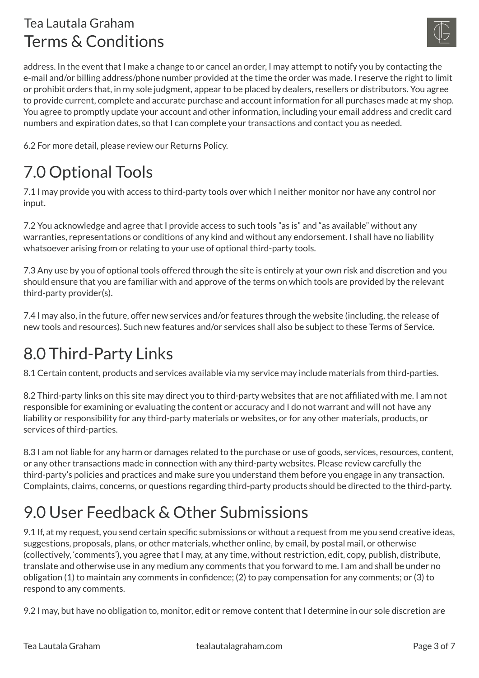

address. In the event that I make a change to or cancel an order, I may attempt to notify you by contacting the e-mail and/or billing address/phone number provided at the time the order was made. I reserve the right to limit or prohibit orders that, in my sole judgment, appear to be placed by dealers, resellers or distributors. You agree to provide current, complete and accurate purchase and account information for all purchases made at my shop. You agree to promptly update your account and other information, including your email address and credit card numbers and expiration dates, so that I can complete your transactions and contact you as needed.

6.2 For more detail, please review our Returns Policy.

## 7.0 Optional Tools

7.1 I may provide you with access to third-party tools over which I neither monitor nor have any control nor input.

7.2 You acknowledge and agree that I provide access to such tools "as is" and "as available" without any warranties, representations or conditions of any kind and without any endorsement. I shall have no liability whatsoever arising from or relating to your use of optional third-party tools.

7.3 Any use by you of optional tools offered through the site is entirely at your own risk and discretion and you should ensure that you are familiar with and approve of the terms on which tools are provided by the relevant third-party provider(s).

7.4 I may also, in the future, offer new services and/or features through the website (including, the release of new tools and resources). Such new features and/or services shall also be subject to these Terms of Service.

#### 8.0 Third-Party Links

8.1 Certain content, products and services available via my service may include materials from third-parties.

8.2 Third-party links on this site may direct you to third-party websites that are not affiliated with me. I am not responsible for examining or evaluating the content or accuracy and I do not warrant and will not have any liability or responsibility for any third-party materials or websites, or for any other materials, products, or services of third-parties.

8.3 I am not liable for any harm or damages related to the purchase or use of goods, services, resources, content, or any other transactions made in connection with any third-party websites. Please review carefully the third-party's policies and practices and make sure you understand them before you engage in any transaction. Complaints, claims, concerns, or questions regarding third-party products should be directed to the third-party.

## 9.0 User Feedback & Other Submissions

9.1 If, at my request, you send certain specific submissions or without a request from me you send creative ideas, suggestions, proposals, plans, or other materials, whether online, by email, by postal mail, or otherwise (collectively, 'comments'), you agree that I may, at any time, without restriction, edit, copy, publish, distribute, translate and otherwise use in any medium any comments that you forward to me. I am and shall be under no obligation (1) to maintain any comments in confidence; (2) to pay compensation for any comments; or (3) to respond to any comments.

9.2 I may, but have no obligation to, monitor, edit or remove content that I determine in our sole discretion are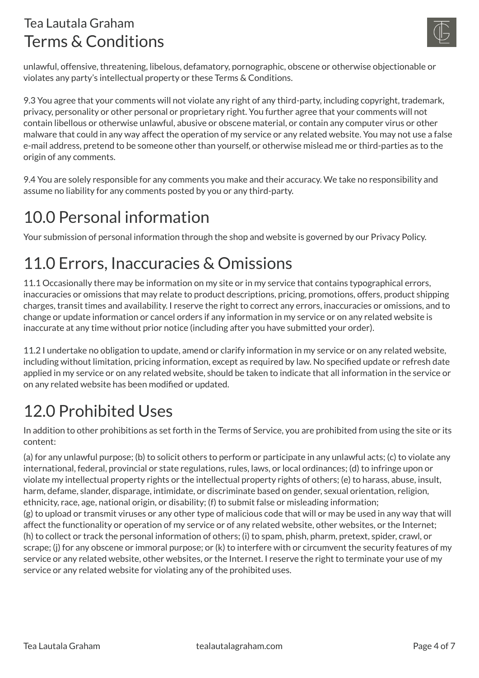

unlawful, offensive, threatening, libelous, defamatory, pornographic, obscene or otherwise objectionable or violates any party's intellectual property or these Terms & Conditions.

9.3 You agree that your comments will not violate any right of any third-party, including copyright, trademark, privacy, personality or other personal or proprietary right. You further agree that your comments will not contain libellous or otherwise unlawful, abusive or obscene material, or contain any computer virus or other malware that could in any way affect the operation of my service or any related website. You may not use a false e-mail address, pretend to be someone other than yourself, or otherwise mislead me or third-parties as to the origin of any comments.

9.4 You are solely responsible for any comments you make and their accuracy. We take no responsibility and assume no liability for any comments posted by you or any third-party.

#### 10.0 Personal information

Your submission of personal information through the shop and website is governed by our Privacy Policy.

## 11.0 Errors, Inaccuracies & Omissions

11.1 Occasionally there may be information on my site or in my service that contains typographical errors, inaccuracies or omissions that may relate to product descriptions, pricing, promotions, offers, product shipping charges, transit times and availability. I reserve the right to correct any errors, inaccuracies or omissions, and to change or update information or cancel orders if any information in my service or on any related website is inaccurate at any time without prior notice (including after you have submitted your order).

11.2 I undertake no obligation to update, amend or clarify information in my service or on any related website, including without limitation, pricing information, except as required by law. No specified update or refresh date applied in my service or on any related website, should be taken to indicate that all information in the service or on any related website has been modified or updated.

## 12.0 Prohibited Uses

In addition to other prohibitions as set forth in the Terms of Service, you are prohibited from using the site or its content:

(a) for any unlawful purpose; (b) to solicit others to perform or participate in any unlawful acts; (c) to violate any international, federal, provincial or state regulations, rules, laws, or local ordinances; (d) to infringe upon or violate my intellectual property rights or the intellectual property rights of others; (e) to harass, abuse, insult, harm, defame, slander, disparage, intimidate, or discriminate based on gender, sexual orientation, religion, ethnicity, race, age, national origin, or disability; (f) to submit false or misleading information; (g) to upload or transmit viruses or any other type of malicious code that will or may be used in any way that will affect the functionality or operation of my service or of any related website, other websites, or the Internet; (h) to collect or track the personal information of others; (i) to spam, phish, pharm, pretext, spider, crawl, or scrape; (j) for any obscene or immoral purpose; or (k) to interfere with or circumvent the security features of my service or any related website, other websites, or the Internet. I reserve the right to terminate your use of my service or any related website for violating any of the prohibited uses.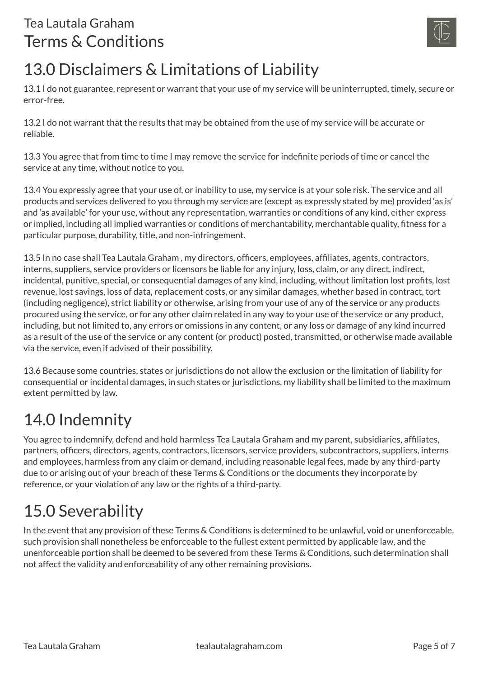

## 13.0 Disclaimers & Limitations of Liability

13.1 I do not guarantee, represent or warrant that your use of my service will be uninterrupted, timely, secure or error-free.

13.2 I do not warrant that the results that may be obtained from the use of my service will be accurate or reliable.

13.3 You agree that from time to time I may remove the service for indefinite periods of time or cancel the service at any time, without notice to you.

13.4 You expressly agree that your use of, or inability to use, my service is at your sole risk. The service and all products and services delivered to you through my service are (except as expressly stated by me) provided 'as is' and 'as available' for your use, without any representation, warranties or conditions of any kind, either express or implied, including all implied warranties or conditions of merchantability, merchantable quality, fitness for a particular purpose, durability, title, and non-infringement.

13.5 In no case shall Tea Lautala Graham , my directors, officers, employees, affiliates, agents, contractors, interns, suppliers, service providers or licensors be liable for any injury, loss, claim, or any direct, indirect, incidental, punitive, special, or consequential damages of any kind, including, without limitation lost profits, lost revenue, lost savings, loss of data, replacement costs, or any similar damages, whether based in contract, tort (including negligence), strict liability or otherwise, arising from your use of any of the service or any products procured using the service, or for any other claim related in any way to your use of the service or any product, including, but not limited to, any errors or omissions in any content, or any loss or damage of any kind incurred as a result of the use of the service or any content (or product) posted, transmitted, or otherwise made available via the service, even if advised of their possibility.

13.6 Because some countries, states or jurisdictions do not allow the exclusion or the limitation of liability for consequential or incidental damages, in such states or jurisdictions, my liability shall be limited to the maximum extent permitted by law.

## 14.0 Indemnity

You agree to indemnify, defend and hold harmless Tea Lautala Graham and my parent, subsidiaries, affiliates, partners, officers, directors, agents, contractors, licensors, service providers, subcontractors, suppliers, interns and employees, harmless from any claim or demand, including reasonable legal fees, made by any third-party due to or arising out of your breach of these Terms & Conditions or the documents they incorporate by reference, or your violation of any law or the rights of a third-party.

## 15.0 Severability

In the event that any provision of these Terms & Conditions is determined to be unlawful, void or unenforceable, such provision shall nonetheless be enforceable to the fullest extent permitted by applicable law, and the unenforceable portion shall be deemed to be severed from these Terms & Conditions, such determination shall not affect the validity and enforceability of any other remaining provisions.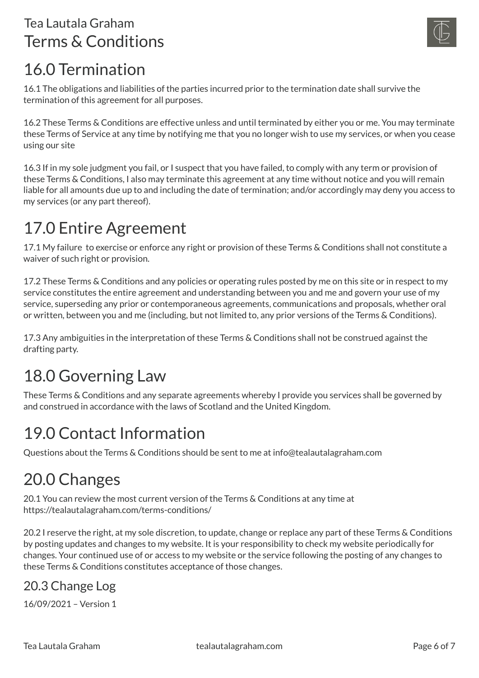

#### 16.0 Termination

16.1 The obligations and liabilities of the parties incurred prior to the termination date shall survive the termination of this agreement for all purposes.

16.2 These Terms & Conditions are effective unless and until terminated by either you or me. You may terminate these Terms of Service at any time by notifying me that you no longer wish to use my services, or when you cease using our site

16.3 If in my sole judgment you fail, or I suspect that you have failed, to comply with any term or provision of these Terms & Conditions, I also may terminate this agreement at any time without notice and you will remain liable for all amounts due up to and including the date of termination; and/or accordingly may deny you access to my services (or any part thereof).

## 17.0 Entire Agreement

17.1 My failure to exercise or enforce any right or provision of these Terms & Conditions shall not constitute a waiver of such right or provision.

17.2 These Terms & Conditions and any policies or operating rules posted by me on this site or in respect to my service constitutes the entire agreement and understanding between you and me and govern your use of my service, superseding any prior or contemporaneous agreements, communications and proposals, whether oral or written, between you and me (including, but not limited to, any prior versions of the Terms & Conditions).

17.3 Any ambiguities in the interpretation of these Terms & Conditions shall not be construed against the drafting party.

## 18.0 Governing Law

These Terms & Conditions and any separate agreements whereby I provide you services shall be governed by and construed in accordance with the laws of Scotland and the United Kingdom.

## 19.0 Contact Information

Questions about the Terms & Conditions should be sent to me at info@tealautalagraham.com

#### 20.0 Changes

20.1 You can review the most current version of the Terms & Conditions at any time at https://tealautalagraham.com/terms-conditions/

20.2 I reserve the right, at my sole discretion, to update, change or replace any part of these Terms & Conditions by posting updates and changes to my website. It is your responsibility to check my website periodically for changes. Your continued use of or access to my website or the service following the posting of any changes to these Terms & Conditions constitutes acceptance of those changes.

#### 20.3 Change Log

16/09/2021 – Version 1